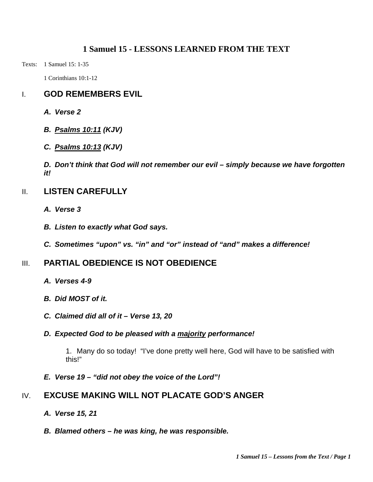#### **1 Samuel 15 - LESSONS LEARNED FROM THE TEXT**

Texts: 1 Samuel 15: 1-35

1 Corinthians 10:1-12

# I. **GOD REMEMBERS EVIL**

- *A. Verse 2*
- *B. Psalms 10:11 (KJV)*
- *C. Psalms 10:13 (KJV)*

*D. Don't think that God will not remember our evil – simply because we have forgotten it!* 

#### II. **LISTEN CAREFULLY**

- *A. Verse 3*
- *B. Listen to exactly what God says.*
- *C. Sometimes "upon" vs. "in" and "or" instead of "and" makes a difference!*

# III. **PARTIAL OBEDIENCE IS NOT OBEDIENCE**

- *A. Verses 4-9*
- *B. Did MOST of it.*
- *C. Claimed did all of it Verse 13, 20*

#### *D. Expected God to be pleased with a majority performance!*

1. Many do so today! "I've done pretty well here, God will have to be satisfied with this!"

*E. Verse 19 – "did not obey the voice of the Lord"!* 

# IV. **EXCUSE MAKING WILL NOT PLACATE GOD'S ANGER**

- *A. Verse 15, 21*
- *B. Blamed others he was king, he was responsible.*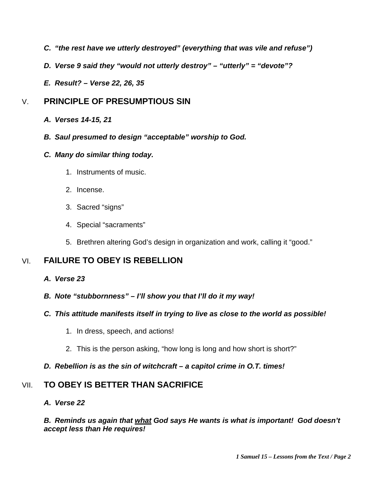- *C. "the rest have we utterly destroyed" (everything that was vile and refuse")*
- *D. Verse 9 said they "would not utterly destroy" "utterly" = "devote"?*
- *E. Result? Verse 22, 26, 35*

### V. **PRINCIPLE OF PRESUMPTIOUS SIN**

- *A. Verses 14-15, 21*
- *B. Saul presumed to design "acceptable" worship to God.*

#### *C. Many do similar thing today.*

- 1. Instruments of music.
- 2. Incense.
- 3. Sacred "signs"
- 4. Special "sacraments"
- 5. Brethren altering God's design in organization and work, calling it "good."

# VI. **FAILURE TO OBEY IS REBELLION**

- *A. Verse 23*
- *B. Note "stubbornness" I'll show you that I'll do it my way!*
- *C. This attitude manifests itself in trying to live as close to the world as possible!* 
	- 1. In dress, speech, and actions!
	- 2. This is the person asking, "how long is long and how short is short?"

#### *D. Rebellion is as the sin of witchcraft – a capitol crime in O.T. times!*

# VII. **TO OBEY IS BETTER THAN SACRIFICE**

*A. Verse 22* 

# *B. Reminds us again that what God says He wants is what is important! God doesn't accept less than He requires!*